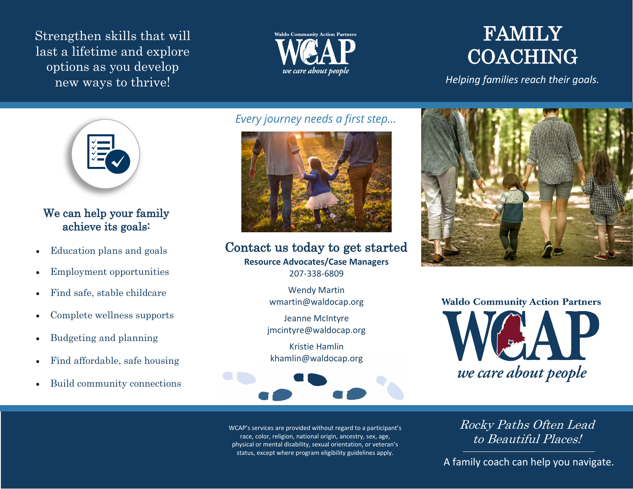Strengthen skills that will last a lifetime and explore options as you develop new ways to thrive!



# **FAMILY** COACHING

*Helping families reach their goals.*



#### We can help your family achieve its goals:

- Education plans and goals
- Employment opportunities
- Find safe, stable childcare
- Complete wellness supports
- Budgeting and planning
- Find affordable, safe housing
- Build community connections

*Every journey needs a first step…*



**Resource Advocates/Case Managers** 207-338-6809 Contact us today to get started

> Wendy Martin wmartin@waldocap.org

Jeanne McIntyre jmcintyre@waldocap.org

Kristie Hamlin khamlin@waldocap.org







WCAP's services are provided without regard to a participant's race, color, religion, national origin, ancestry, sex, age, physical or mental disability, sexual orientation, or veteran's status, except where program eligibility guidelines apply.

Rocky Paths Often Lead to Beautiful Places!

A family coach can help you navigate.